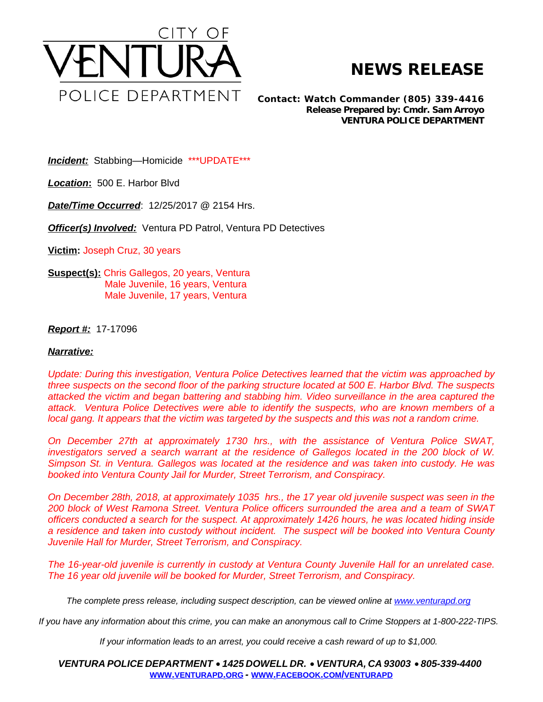

## **NEWS RELEASE**

*Contact: Watch Commander (805) 339-4416 Release Prepared by: Cmdr. Sam Arroyo* **VENTURA POLICE DEPARTMENT**

*Incident:* Stabbing—Homicide \*\*\*UPDATE\*\*\*

*Location***:** 500 E. Harbor Blvd

*Date/Time Occurred*: 12/25/2017 @ 2154 Hrs.

*Officer(s) Involved:* Ventura PD Patrol, Ventura PD Detectives

**Victim:** Joseph Cruz, 30 years

**Suspect(s):** Chris Gallegos, 20 years, Ventura Male Juvenile, 16 years, Ventura Male Juvenile, 17 years, Ventura

*Report #:* 17-17096

## *Narrative:*

*Update: During this investigation, Ventura Police Detectives learned that the victim was approached by* three suspects on the second floor of the parking structure located at 500 E. Harbor Blvd. The suspects *attacked the victim and began battering and stabbing him. Video surveillance in the area captured the attack. Ventura Police Detectives were able to identify the suspects, who are known members of a local gang. It appears that the victim was targeted by the suspects and this was not a random crime.* 

*On December 27th at approximately 1730 hrs., with the assistance of Ventura Police SWAT, investigators served a search warrant at the residence of Gallegos located in the 200 block of W. Simpson St. in Ventura. Gallegos was located at the residence and was taken into custody. He was booked into Ventura County Jail for Murder, Street Terrorism, and Conspiracy.* 

On December 28th, 2018, at approximately 1035 hrs., the 17 year old juvenile suspect was seen in the *200 block of West Ramona Street. Ventura Police officers surrounded the area and a team of SWAT officers conducted a search for the suspect. At approximately 1426 hours, he was located hiding inside a residence and taken into custody without incident. The suspect will be booked into Ventura County Juvenile Hall for Murder, Street Terrorism, and Conspiracy.* 

*The 16-year-old juvenile is currently in custody at Ventura County Juvenile Hall for an unrelated case. The 16 year old juvenile will be booked for Murder, Street Terrorism, and Conspiracy.*

The complete press release, including suspect description, can be viewed online at [www.venturapd.org](http://www.venturapd.org)

*If you have any information about this crime, you can make an anonymous call to Crime Stoppers at 1-800-222-TIPS.*

*If your information leads to an arrest, you could receive a cash reward of up to \$1,000.*

*VENTURA POLICE DEPARTMENT* · *1425 DOWELL DR.* · *VENTURA, CA 93003* · *805-339-4400* **WWW.[VENTURAPD](http://www.venturapd.org).ORG** *-* **WWW.FACEBOOK.COM/[VENTURAPD](http://www.facebook.com/venturapd)**